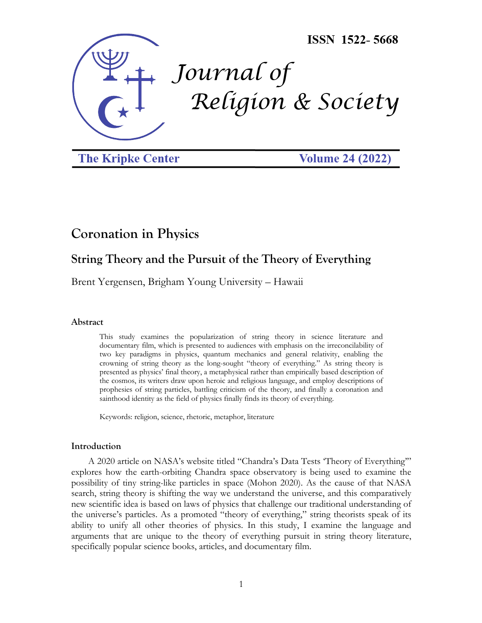

**The Kripke Center** 

**Volume 24 (2022)** 

# **Coronation in Physics**

## **String Theory and the Pursuit of the Theory of Everything**

Brent Yergensen, Brigham Young University – Hawaii

## **Abstract**

This study examines the popularization of string theory in science literature and documentary film, which is presented to audiences with emphasis on the irreconcilability of two key paradigms in physics, quantum mechanics and general relativity, enabling the crowning of string theory as the long-sought "theory of everything." As string theory is presented as physics' final theory, a metaphysical rather than empirically based description of the cosmos, its writers draw upon heroic and religious language, and employ descriptions of prophesies of string particles, battling criticism of the theory, and finally a coronation and sainthood identity as the field of physics finally finds its theory of everything.

Keywords: religion, science, rhetoric, metaphor, literature

## **Introduction**

A 2020 article on NASA's website titled "Chandra's Data Tests 'Theory of Everything'" explores how the earth-orbiting Chandra space observatory is being used to examine the possibility of tiny string-like particles in space (Mohon 2020). As the cause of that NASA search, string theory is shifting the way we understand the universe, and this comparatively new scientific idea is based on laws of physics that challenge our traditional understanding of the universe's particles. As a promoted "theory of everything," string theorists speak of its ability to unify all other theories of physics. In this study, I examine the language and arguments that are unique to the theory of everything pursuit in string theory literature, specifically popular science books, articles, and documentary film.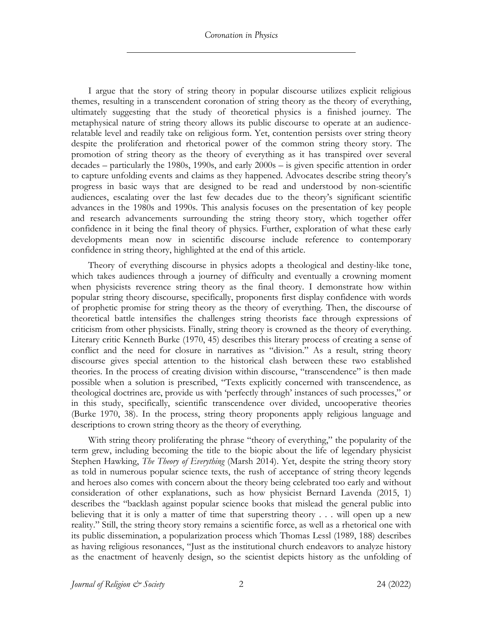I argue that the story of string theory in popular discourse utilizes explicit religious themes, resulting in a transcendent coronation of string theory as the theory of everything, ultimately suggesting that the study of theoretical physics is a finished journey. The metaphysical nature of string theory allows its public discourse to operate at an audiencerelatable level and readily take on religious form. Yet, contention persists over string theory despite the proliferation and rhetorical power of the common string theory story. The promotion of string theory as the theory of everything as it has transpired over several decades – particularly the 1980s, 1990s, and early 2000s – is given specific attention in order to capture unfolding events and claims as they happened. Advocates describe string theory's progress in basic ways that are designed to be read and understood by non-scientific audiences, escalating over the last few decades due to the theory's significant scientific advances in the 1980s and 1990s. This analysis focuses on the presentation of key people and research advancements surrounding the string theory story, which together offer confidence in it being the final theory of physics. Further, exploration of what these early developments mean now in scientific discourse include reference to contemporary confidence in string theory, highlighted at the end of this article.

Theory of everything discourse in physics adopts a theological and destiny-like tone, which takes audiences through a journey of difficulty and eventually a crowning moment when physicists reverence string theory as the final theory. I demonstrate how within popular string theory discourse, specifically, proponents first display confidence with words of prophetic promise for string theory as the theory of everything. Then, the discourse of theoretical battle intensifies the challenges string theorists face through expressions of criticism from other physicists. Finally, string theory is crowned as the theory of everything. Literary critic Kenneth Burke (1970, 45) describes this literary process of creating a sense of conflict and the need for closure in narratives as "division." As a result, string theory discourse gives special attention to the historical clash between these two established theories. In the process of creating division within discourse, "transcendence" is then made possible when a solution is prescribed, "Texts explicitly concerned with transcendence, as theological doctrines are, provide us with 'perfectly through' instances of such processes," or in this study, specifically, scientific transcendence over divided, uncooperative theories (Burke 1970, 38). In the process, string theory proponents apply religious language and descriptions to crown string theory as the theory of everything.

With string theory proliferating the phrase "theory of everything," the popularity of the term grew, including becoming the title to the biopic about the life of legendary physicist Stephen Hawking, *The Theory of Everything* (Marsh 2014). Yet, despite the string theory story as told in numerous popular science texts, the rush of acceptance of string theory legends and heroes also comes with concern about the theory being celebrated too early and without consideration of other explanations, such as how physicist Bernard Lavenda (2015, 1) describes the "backlash against popular science books that mislead the general public into believing that it is only a matter of time that superstring theory . . . will open up a new reality." Still, the string theory story remains a scientific force, as well as a rhetorical one with its public dissemination, a popularization process which Thomas Lessl (1989, 188) describes as having religious resonances, "Just as the institutional church endeavors to analyze history as the enactment of heavenly design, so the scientist depicts history as the unfolding of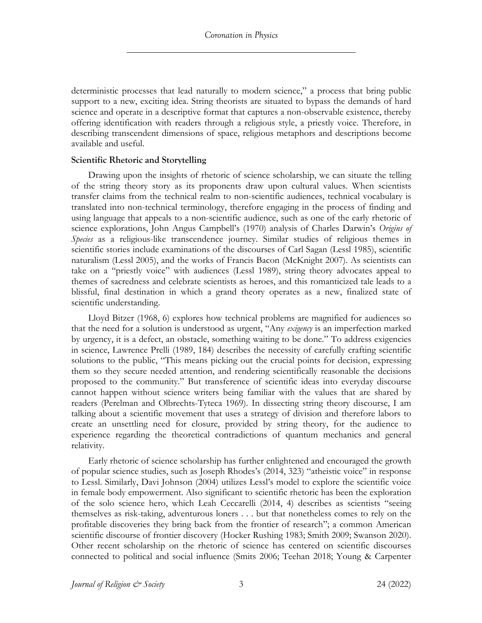deterministic processes that lead naturally to modern science," a process that bring public support to a new, exciting idea. String theorists are situated to bypass the demands of hard science and operate in a descriptive format that captures a non-observable existence, thereby offering identification with readers through a religious style, a priestly voice. Therefore, in describing transcendent dimensions of space, religious metaphors and descriptions become available and useful.

## **Scientific Rhetoric and Storytelling**

Drawing upon the insights of rhetoric of science scholarship, we can situate the telling of the string theory story as its proponents draw upon cultural values. When scientists transfer claims from the technical realm to non-scientific audiences, technical vocabulary is translated into non-technical terminology, therefore engaging in the process of finding and using language that appeals to a non-scientific audience, such as one of the early rhetoric of science explorations, John Angus Campbell's (1970) analysis of Charles Darwin's *Origins of Species* as a religious-like transcendence journey. Similar studies of religious themes in scientific stories include examinations of the discourses of Carl Sagan (Lessl 1985), scientific naturalism (Lessl 2005), and the works of Francis Bacon (McKnight 2007). As scientists can take on a "priestly voice" with audiences (Lessl 1989), string theory advocates appeal to themes of sacredness and celebrate scientists as heroes, and this romanticized tale leads to a blissful, final destination in which a grand theory operates as a new, finalized state of scientific understanding.

Lloyd Bitzer (1968, 6) explores how technical problems are magnified for audiences so that the need for a solution is understood as urgent, "Any *exigency* is an imperfection marked by urgency, it is a defect, an obstacle, something waiting to be done." To address exigencies in science, Lawrence Prelli (1989, 184) describes the necessity of carefully crafting scientific solutions to the public, "This means picking out the crucial points for decision, expressing them so they secure needed attention, and rendering scientifically reasonable the decisions proposed to the community." But transference of scientific ideas into everyday discourse cannot happen without science writers being familiar with the values that are shared by readers (Perelman and Olbrechts-Tyteca 1969). In dissecting string theory discourse, I am talking about a scientific movement that uses a strategy of division and therefore labors to create an unsettling need for closure, provided by string theory, for the audience to experience regarding the theoretical contradictions of quantum mechanics and general relativity.

Early rhetoric of science scholarship has further enlightened and encouraged the growth of popular science studies, such as Joseph Rhodes's (2014, 323) "atheistic voice" in response to Lessl. Similarly, Davi Johnson (2004) utilizes Lessl's model to explore the scientific voice in female body empowerment. Also significant to scientific rhetoric has been the exploration of the solo science hero, which Leah Ceccarelli (2014, 4) describes as scientists "seeing themselves as risk-taking, adventurous loners . . . but that nonetheless comes to rely on the profitable discoveries they bring back from the frontier of research"; a common American scientific discourse of frontier discovery (Hocker Rushing 1983; Smith 2009; Swanson 2020). Other recent scholarship on the rhetoric of science has centered on scientific discourses connected to political and social influence (Smits 2006; Teehan 2018; Young & Carpenter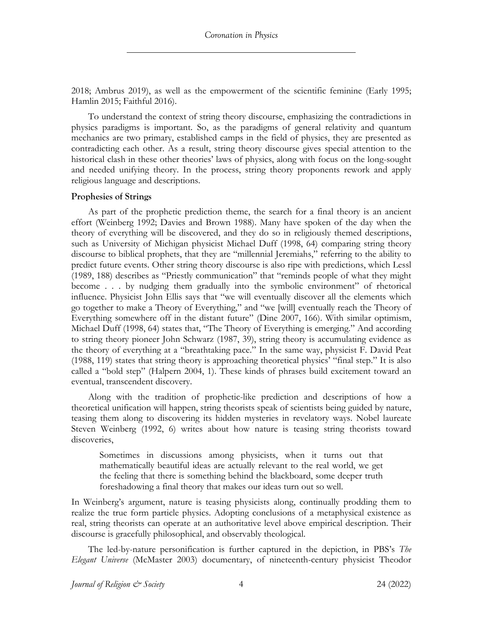2018; Ambrus 2019), as well as the empowerment of the scientific feminine (Early 1995; Hamlin 2015; Faithful 2016).

To understand the context of string theory discourse, emphasizing the contradictions in physics paradigms is important. So, as the paradigms of general relativity and quantum mechanics are two primary, established camps in the field of physics, they are presented as contradicting each other. As a result, string theory discourse gives special attention to the historical clash in these other theories' laws of physics, along with focus on the long-sought and needed unifying theory. In the process, string theory proponents rework and apply religious language and descriptions.

#### **Prophesies of Strings**

As part of the prophetic prediction theme, the search for a final theory is an ancient effort (Weinberg 1992; Davies and Brown 1988). Many have spoken of the day when the theory of everything will be discovered, and they do so in religiously themed descriptions, such as University of Michigan physicist Michael Duff (1998, 64) comparing string theory discourse to biblical prophets, that they are "millennial Jeremiahs," referring to the ability to predict future events. Other string theory discourse is also ripe with predictions, which Lessl (1989, 188) describes as "Priestly communication" that "reminds people of what they might become . . . by nudging them gradually into the symbolic environment" of rhetorical influence. Physicist John Ellis says that "we will eventually discover all the elements which go together to make a Theory of Everything," and "we [will] eventually reach the Theory of Everything somewhere off in the distant future" (Dine 2007, 166). With similar optimism, Michael Duff (1998, 64) states that, "The Theory of Everything is emerging." And according to string theory pioneer John Schwarz (1987, 39), string theory is accumulating evidence as the theory of everything at a "breathtaking pace." In the same way, physicist F. David Peat (1988, 119) states that string theory is approaching theoretical physics' "final step." It is also called a "bold step" (Halpern 2004, 1). These kinds of phrases build excitement toward an eventual, transcendent discovery.

Along with the tradition of prophetic-like prediction and descriptions of how a theoretical unification will happen, string theorists speak of scientists being guided by nature, teasing them along to discovering its hidden mysteries in revelatory ways. Nobel laureate Steven Weinberg (1992, 6) writes about how nature is teasing string theorists toward discoveries,

Sometimes in discussions among physicists, when it turns out that mathematically beautiful ideas are actually relevant to the real world, we get the feeling that there is something behind the blackboard, some deeper truth foreshadowing a final theory that makes our ideas turn out so well.

In Weinberg's argument, nature is teasing physicists along, continually prodding them to realize the true form particle physics. Adopting conclusions of a metaphysical existence as real, string theorists can operate at an authoritative level above empirical description. Their discourse is gracefully philosophical, and observably theological.

The led-by-nature personification is further captured in the depiction, in PBS's *The Elegant Universe* (McMaster 2003) documentary, of nineteenth-century physicist Theodor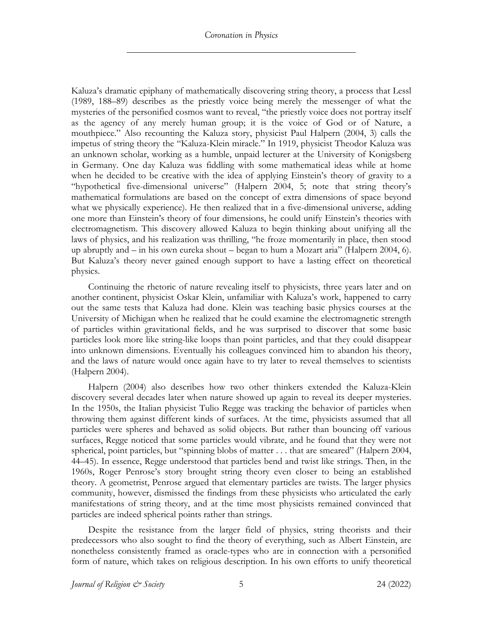Kaluza's dramatic epiphany of mathematically discovering string theory, a process that Lessl (1989, 188–89) describes as the priestly voice being merely the messenger of what the mysteries of the personified cosmos want to reveal, "the priestly voice does not portray itself as the agency of any merely human group; it is the voice of God or of Nature, a mouthpiece." Also recounting the Kaluza story, physicist Paul Halpern (2004, 3) calls the impetus of string theory the "Kaluza-Klein miracle." In 1919, physicist Theodor Kaluza was an unknown scholar, working as a humble, unpaid lecturer at the University of Konigsberg in Germany. One day Kaluza was fiddling with some mathematical ideas while at home when he decided to be creative with the idea of applying Einstein's theory of gravity to a "hypothetical five-dimensional universe" (Halpern 2004, 5; note that string theory's mathematical formulations are based on the concept of extra dimensions of space beyond what we physically experience). He then realized that in a five-dimensional universe, adding one more than Einstein's theory of four dimensions, he could unify Einstein's theories with electromagnetism. This discovery allowed Kaluza to begin thinking about unifying all the laws of physics, and his realization was thrilling, "he froze momentarily in place, then stood up abruptly and – in his own eureka shout – began to hum a Mozart aria" (Halpern 2004, 6). But Kaluza's theory never gained enough support to have a lasting effect on theoretical physics.

Continuing the rhetoric of nature revealing itself to physicists, three years later and on another continent, physicist Oskar Klein, unfamiliar with Kaluza's work, happened to carry out the same tests that Kaluza had done. Klein was teaching basic physics courses at the University of Michigan when he realized that he could examine the electromagnetic strength of particles within gravitational fields, and he was surprised to discover that some basic particles look more like string-like loops than point particles, and that they could disappear into unknown dimensions. Eventually his colleagues convinced him to abandon his theory, and the laws of nature would once again have to try later to reveal themselves to scientists (Halpern 2004).

Halpern (2004) also describes how two other thinkers extended the Kaluza-Klein discovery several decades later when nature showed up again to reveal its deeper mysteries. In the 1950s, the Italian physicist Tulio Regge was tracking the behavior of particles when throwing them against different kinds of surfaces. At the time, physicists assumed that all particles were spheres and behaved as solid objects. But rather than bouncing off various surfaces, Regge noticed that some particles would vibrate, and he found that they were not spherical, point particles, but "spinning blobs of matter . . . that are smeared" (Halpern 2004, 44–45). In essence, Regge understood that particles bend and twist like strings. Then, in the 1960s, Roger Penrose's story brought string theory even closer to being an established theory. A geometrist, Penrose argued that elementary particles are twists. The larger physics community, however, dismissed the findings from these physicists who articulated the early manifestations of string theory, and at the time most physicists remained convinced that particles are indeed spherical points rather than strings.

Despite the resistance from the larger field of physics, string theorists and their predecessors who also sought to find the theory of everything, such as Albert Einstein, are nonetheless consistently framed as oracle-types who are in connection with a personified form of nature, which takes on religious description. In his own efforts to unify theoretical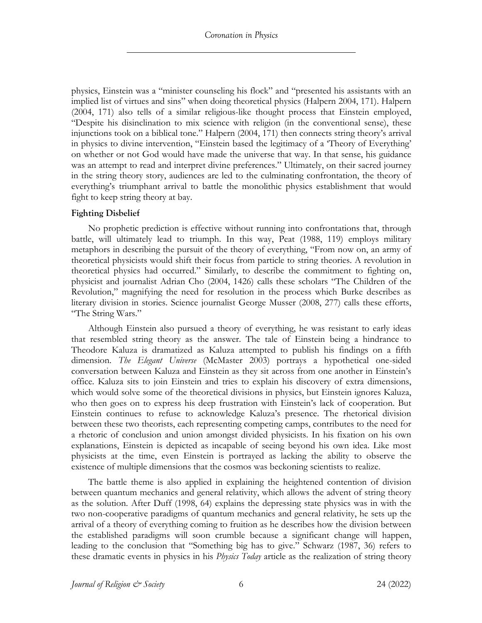physics, Einstein was a "minister counseling his flock" and "presented his assistants with an implied list of virtues and sins" when doing theoretical physics (Halpern 2004, 171). Halpern (2004, 171) also tells of a similar religious-like thought process that Einstein employed, "Despite his disinclination to mix science with religion (in the conventional sense), these injunctions took on a biblical tone." Halpern (2004, 171) then connects string theory's arrival in physics to divine intervention, "Einstein based the legitimacy of a 'Theory of Everything' on whether or not God would have made the universe that way. In that sense, his guidance was an attempt to read and interpret divine preferences." Ultimately, on their sacred journey in the string theory story, audiences are led to the culminating confrontation, the theory of everything's triumphant arrival to battle the monolithic physics establishment that would fight to keep string theory at bay.

## **Fighting Disbelief**

No prophetic prediction is effective without running into confrontations that, through battle, will ultimately lead to triumph. In this way, Peat (1988, 119) employs military metaphors in describing the pursuit of the theory of everything, "From now on, an army of theoretical physicists would shift their focus from particle to string theories. A revolution in theoretical physics had occurred." Similarly, to describe the commitment to fighting on, physicist and journalist Adrian Cho (2004, 1426) calls these scholars "The Children of the Revolution," magnifying the need for resolution in the process which Burke describes as literary division in stories. Science journalist George Musser (2008, 277) calls these efforts, "The String Wars."

Although Einstein also pursued a theory of everything, he was resistant to early ideas that resembled string theory as the answer. The tale of Einstein being a hindrance to Theodore Kaluza is dramatized as Kaluza attempted to publish his findings on a fifth dimension. *The Elegant Universe* (McMaster 2003) portrays a hypothetical one-sided conversation between Kaluza and Einstein as they sit across from one another in Einstein's office. Kaluza sits to join Einstein and tries to explain his discovery of extra dimensions, which would solve some of the theoretical divisions in physics, but Einstein ignores Kaluza, who then goes on to express his deep frustration with Einstein's lack of cooperation. But Einstein continues to refuse to acknowledge Kaluza's presence. The rhetorical division between these two theorists, each representing competing camps, contributes to the need for a rhetoric of conclusion and union amongst divided physicists. In his fixation on his own explanations, Einstein is depicted as incapable of seeing beyond his own idea. Like most physicists at the time, even Einstein is portrayed as lacking the ability to observe the existence of multiple dimensions that the cosmos was beckoning scientists to realize.

The battle theme is also applied in explaining the heightened contention of division between quantum mechanics and general relativity, which allows the advent of string theory as the solution. After Duff (1998, 64) explains the depressing state physics was in with the two non-cooperative paradigms of quantum mechanics and general relativity, he sets up the arrival of a theory of everything coming to fruition as he describes how the division between the established paradigms will soon crumble because a significant change will happen, leading to the conclusion that "Something big has to give." Schwarz (1987, 36) refers to these dramatic events in physics in his *Physics Today* article as the realization of string theory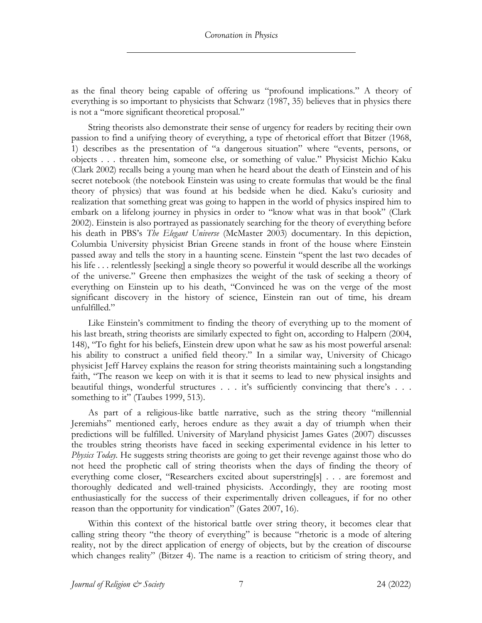as the final theory being capable of offering us "profound implications." A theory of everything is so important to physicists that Schwarz (1987, 35) believes that in physics there is not a "more significant theoretical proposal."

String theorists also demonstrate their sense of urgency for readers by reciting their own passion to find a unifying theory of everything, a type of rhetorical effort that Bitzer (1968, 1) describes as the presentation of "a dangerous situation" where "events, persons, or objects . . . threaten him, someone else, or something of value." Physicist Michio Kaku (Clark 2002) recalls being a young man when he heard about the death of Einstein and of his secret notebook (the notebook Einstein was using to create formulas that would be the final theory of physics) that was found at his bedside when he died. Kaku's curiosity and realization that something great was going to happen in the world of physics inspired him to embark on a lifelong journey in physics in order to "know what was in that book" (Clark 2002). Einstein is also portrayed as passionately searching for the theory of everything before his death in PBS's *The Elegant Universe* (McMaster 2003) documentary. In this depiction, Columbia University physicist Brian Greene stands in front of the house where Einstein passed away and tells the story in a haunting scene. Einstein "spent the last two decades of his life ... relentlessly [seeking] a single theory so powerful it would describe all the workings of the universe." Greene then emphasizes the weight of the task of seeking a theory of everything on Einstein up to his death, "Convinced he was on the verge of the most significant discovery in the history of science, Einstein ran out of time, his dream unfulfilled."

Like Einstein's commitment to finding the theory of everything up to the moment of his last breath, string theorists are similarly expected to fight on, according to Halpern (2004, 148), "To fight for his beliefs, Einstein drew upon what he saw as his most powerful arsenal: his ability to construct a unified field theory." In a similar way, University of Chicago physicist Jeff Harvey explains the reason for string theorists maintaining such a longstanding faith, "The reason we keep on with it is that it seems to lead to new physical insights and beautiful things, wonderful structures . . . it's sufficiently convincing that there's . . . something to it" (Taubes 1999, 513).

As part of a religious-like battle narrative, such as the string theory "millennial Jeremiahs" mentioned early, heroes endure as they await a day of triumph when their predictions will be fulfilled. University of Maryland physicist James Gates (2007) discusses the troubles string theorists have faced in seeking experimental evidence in his letter to *Physics Today*. He suggests string theorists are going to get their revenge against those who do not heed the prophetic call of string theorists when the days of finding the theory of everything come closer, "Researchers excited about superstring[s] . . . are foremost and thoroughly dedicated and well-trained physicists. Accordingly, they are rooting most enthusiastically for the success of their experimentally driven colleagues, if for no other reason than the opportunity for vindication" (Gates 2007, 16).

Within this context of the historical battle over string theory, it becomes clear that calling string theory "the theory of everything" is because "rhetoric is a mode of altering reality, not by the direct application of energy of objects, but by the creation of discourse which changes reality" (Bitzer 4). The name is a reaction to criticism of string theory, and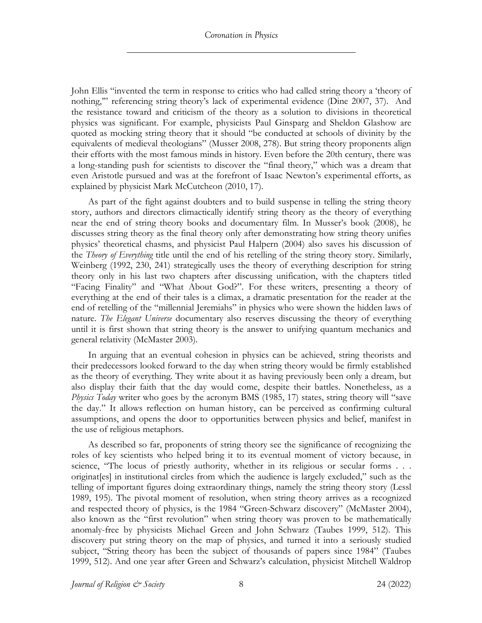John Ellis "invented the term in response to critics who had called string theory a 'theory of nothing," referencing string theory's lack of experimental evidence (Dine 2007, 37). And the resistance toward and criticism of the theory as a solution to divisions in theoretical physics was significant. For example, physicists Paul Ginsparg and Sheldon Glashow are quoted as mocking string theory that it should "be conducted at schools of divinity by the equivalents of medieval theologians" (Musser 2008, 278). But string theory proponents align their efforts with the most famous minds in history. Even before the 20th century, there was a long-standing push for scientists to discover the "final theory," which was a dream that even Aristotle pursued and was at the forefront of Isaac Newton's experimental efforts, as explained by physicist Mark McCutcheon (2010, 17).

As part of the fight against doubters and to build suspense in telling the string theory story, authors and directors climactically identify string theory as the theory of everything near the end of string theory books and documentary film. In Musser's book (2008), he discusses string theory as the final theory only after demonstrating how string theory unifies physics' theoretical chasms, and physicist Paul Halpern (2004) also saves his discussion of the *Theory of Everything* title until the end of his retelling of the string theory story. Similarly, Weinberg (1992, 230, 241) strategically uses the theory of everything description for string theory only in his last two chapters after discussing unification, with the chapters titled "Facing Finality" and "What About God?". For these writers, presenting a theory of everything at the end of their tales is a climax, a dramatic presentation for the reader at the end of retelling of the "millennial Jeremiahs" in physics who were shown the hidden laws of nature. *The Elegant Universe* documentary also reserves discussing the theory of everything until it is first shown that string theory is the answer to unifying quantum mechanics and general relativity (McMaster 2003).

In arguing that an eventual cohesion in physics can be achieved, string theorists and their predecessors looked forward to the day when string theory would be firmly established as the theory of everything. They write about it as having previously been only a dream, but also display their faith that the day would come, despite their battles. Nonetheless, as a *Physics Today* writer who goes by the acronym BMS (1985, 17) states, string theory will "save the day." It allows reflection on human history, can be perceived as confirming cultural assumptions, and opens the door to opportunities between physics and belief, manifest in the use of religious metaphors.

As described so far, proponents of string theory see the significance of recognizing the roles of key scientists who helped bring it to its eventual moment of victory because, in science, "The locus of priestly authority, whether in its religious or secular forms . . . originat[es] in institutional circles from which the audience is largely excluded," such as the telling of important figures doing extraordinary things, namely the string theory story (Lessl 1989, 195). The pivotal moment of resolution, when string theory arrives as a recognized and respected theory of physics, is the 1984 "Green-Schwarz discovery" (McMaster 2004), also known as the "first revolution" when string theory was proven to be mathematically anomaly-free by physicists Michael Green and John Schwarz (Taubes 1999, 512). This discovery put string theory on the map of physics, and turned it into a seriously studied subject, "String theory has been the subject of thousands of papers since 1984" (Taubes 1999, 512). And one year after Green and Schwarz's calculation, physicist Mitchell Waldrop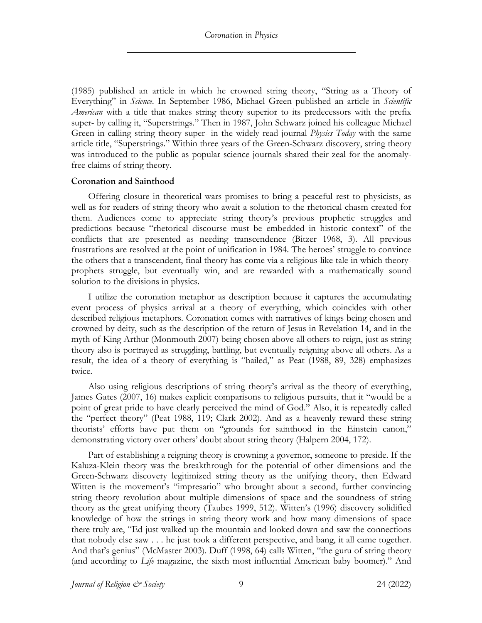(1985) published an article in which he crowned string theory, "String as a Theory of Everything" in *Science*. In September 1986, Michael Green published an article in *Scientific American* with a title that makes string theory superior to its predecessors with the prefix super- by calling it, "Superstrings." Then in 1987, John Schwarz joined his colleague Michael Green in calling string theory super- in the widely read journal *Physics Today* with the same article title, "Superstrings." Within three years of the Green-Schwarz discovery, string theory was introduced to the public as popular science journals shared their zeal for the anomalyfree claims of string theory.

## **Coronation and Sainthood**

Offering closure in theoretical wars promises to bring a peaceful rest to physicists, as well as for readers of string theory who await a solution to the rhetorical chasm created for them. Audiences come to appreciate string theory's previous prophetic struggles and predictions because "rhetorical discourse must be embedded in historic context" of the conflicts that are presented as needing transcendence (Bitzer 1968, 3). All previous frustrations are resolved at the point of unification in 1984. The heroes' struggle to convince the others that a transcendent, final theory has come via a religious-like tale in which theoryprophets struggle, but eventually win, and are rewarded with a mathematically sound solution to the divisions in physics.

I utilize the coronation metaphor as description because it captures the accumulating event process of physics arrival at a theory of everything, which coincides with other described religious metaphors. Coronation comes with narratives of kings being chosen and crowned by deity, such as the description of the return of Jesus in Revelation 14, and in the myth of King Arthur (Monmouth 2007) being chosen above all others to reign, just as string theory also is portrayed as struggling, battling, but eventually reigning above all others. As a result, the idea of a theory of everything is "hailed," as Peat (1988, 89, 328) emphasizes twice.

Also using religious descriptions of string theory's arrival as the theory of everything, James Gates (2007, 16) makes explicit comparisons to religious pursuits, that it "would be a point of great pride to have clearly perceived the mind of God." Also, it is repeatedly called the "perfect theory" (Peat 1988, 119; Clark 2002). And as a heavenly reward these string theorists' efforts have put them on "grounds for sainthood in the Einstein canon," demonstrating victory over others' doubt about string theory (Halpern 2004, 172).

Part of establishing a reigning theory is crowning a governor, someone to preside. If the Kaluza-Klein theory was the breakthrough for the potential of other dimensions and the Green-Schwarz discovery legitimized string theory as the unifying theory, then Edward Witten is the movement's "impresario" who brought about a second, further convincing string theory revolution about multiple dimensions of space and the soundness of string theory as the great unifying theory (Taubes 1999, 512). Witten's (1996) discovery solidified knowledge of how the strings in string theory work and how many dimensions of space there truly are, "Ed just walked up the mountain and looked down and saw the connections that nobody else saw . . . he just took a different perspective, and bang, it all came together. And that's genius" (McMaster 2003). Duff (1998, 64) calls Witten, "the guru of string theory (and according to *Life* magazine, the sixth most influential American baby boomer)." And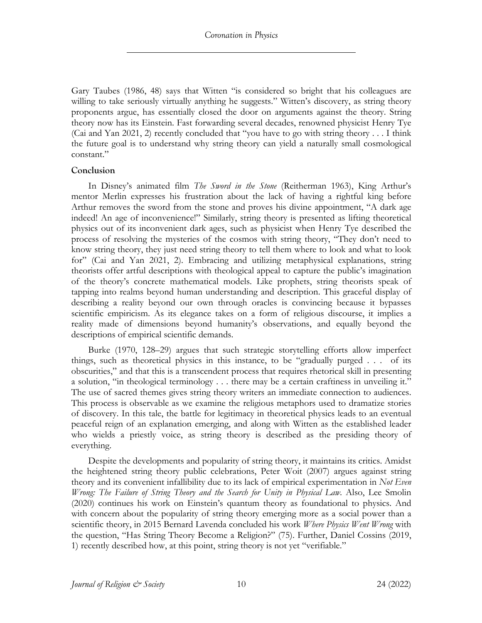Gary Taubes (1986, 48) says that Witten "is considered so bright that his colleagues are willing to take seriously virtually anything he suggests." Witten's discovery, as string theory proponents argue, has essentially closed the door on arguments against the theory. String theory now has its Einstein. Fast forwarding several decades, renowned physicist Henry Tye (Cai and Yan 2021, 2) recently concluded that "you have to go with string theory . . . I think the future goal is to understand why string theory can yield a naturally small cosmological constant."

## **Conclusion**

In Disney's animated film *The Sword in the Stone* (Reitherman 1963), King Arthur's mentor Merlin expresses his frustration about the lack of having a rightful king before Arthur removes the sword from the stone and proves his divine appointment, "A dark age indeed! An age of inconvenience!" Similarly, string theory is presented as lifting theoretical physics out of its inconvenient dark ages, such as physicist when Henry Tye described the process of resolving the mysteries of the cosmos with string theory, "They don't need to know string theory, they just need string theory to tell them where to look and what to look for" (Cai and Yan 2021, 2). Embracing and utilizing metaphysical explanations, string theorists offer artful descriptions with theological appeal to capture the public's imagination of the theory's concrete mathematical models. Like prophets, string theorists speak of tapping into realms beyond human understanding and description. This graceful display of describing a reality beyond our own through oracles is convincing because it bypasses scientific empiricism. As its elegance takes on a form of religious discourse, it implies a reality made of dimensions beyond humanity's observations, and equally beyond the descriptions of empirical scientific demands.

Burke (1970, 128–29) argues that such strategic storytelling efforts allow imperfect things, such as theoretical physics in this instance, to be "gradually purged . . . of its obscurities," and that this is a transcendent process that requires rhetorical skill in presenting a solution, "in theological terminology . . . there may be a certain craftiness in unveiling it." The use of sacred themes gives string theory writers an immediate connection to audiences. This process is observable as we examine the religious metaphors used to dramatize stories of discovery. In this tale, the battle for legitimacy in theoretical physics leads to an eventual peaceful reign of an explanation emerging, and along with Witten as the established leader who wields a priestly voice, as string theory is described as the presiding theory of everything.

Despite the developments and popularity of string theory, it maintains its critics. Amidst the heightened string theory public celebrations, Peter Woit (2007) argues against string theory and its convenient infallibility due to its lack of empirical experimentation in *Not Even Wrong: The Failure of String Theory and the Search for Unity in Physical Law*. Also, Lee Smolin (2020) continues his work on Einstein's quantum theory as foundational to physics. And with concern about the popularity of string theory emerging more as a social power than a scientific theory, in 2015 Bernard Lavenda concluded his work *Where Physics Went Wrong* with the question, "Has String Theory Become a Religion?" (75). Further, Daniel Cossins (2019, 1) recently described how, at this point, string theory is not yet "verifiable."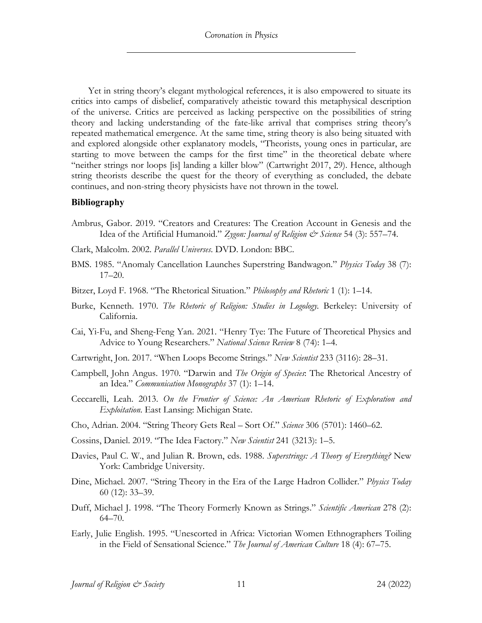Yet in string theory's elegant mythological references, it is also empowered to situate its critics into camps of disbelief, comparatively atheistic toward this metaphysical description of the universe. Critics are perceived as lacking perspective on the possibilities of string theory and lacking understanding of the fate-like arrival that comprises string theory's repeated mathematical emergence. At the same time, string theory is also being situated with and explored alongside other explanatory models, "Theorists, young ones in particular, are starting to move between the camps for the first time" in the theoretical debate where "neither strings nor loops [is] landing a killer blow" (Cartwright 2017, 29). Hence, although string theorists describe the quest for the theory of everything as concluded, the debate continues, and non-string theory physicists have not thrown in the towel.

#### **Bibliography**

- Ambrus, Gabor. 2019. "Creators and Creatures: The Creation Account in Genesis and the Idea of the Artificial Humanoid." *Zygon: Journal of Religion & Science* 54 (3): 557–74.
- Clark, Malcolm. 2002. *Parallel Universes*. DVD. London: BBC.
- BMS. 1985. "Anomaly Cancellation Launches Superstring Bandwagon." *Physics Today* 38 (7): 17–20.
- Bitzer, Loyd F. 1968. "The Rhetorical Situation." *Philosophy and Rhetoric* 1 (1): 1–14.
- Burke, Kenneth. 1970. *The Rhetoric of Religion: Studies in Logology.* Berkeley: University of California.
- Cai, Yi-Fu, and Sheng-Feng Yan. 2021. "Henry Tye: The Future of Theoretical Physics and Advice to Young Researchers." *National Science Review* 8 (74): 1–4.
- Cartwright, Jon. 2017. "When Loops Become Strings." *New Scientist* 233 (3116): 28–31.
- Campbell, John Angus. 1970. "Darwin and *The Origin of Species*: The Rhetorical Ancestry of an Idea." *Communication Monographs* 37 (1): 1–14.
- Ceccarelli, Leah. 2013. *On the Frontier of Science: An American Rhetoric of Exploration and Exploitation*. East Lansing: Michigan State.
- Cho, Adrian. 2004. "String Theory Gets Real Sort Of." *Science* 306 (5701): 1460–62.
- Cossins, Daniel. 2019. "The Idea Factory." *New Scientist* 241 (3213): 1–5.
- Davies, Paul C. W., and Julian R. Brown, eds. 1988. *Superstrings: A Theory of Everything?* New York: Cambridge University.
- Dine, Michael. 2007. "String Theory in the Era of the Large Hadron Collider." *Physics Today* 60 (12): 33–39.
- Duff, Michael J. 1998. "The Theory Formerly Known as Strings." *Scientific American* 278 (2): 64–70.
- Early, Julie English. 1995. "Unescorted in Africa: Victorian Women Ethnographers Toiling in the Field of Sensational Science." *The Journal of American Culture* 18 (4): 67–75.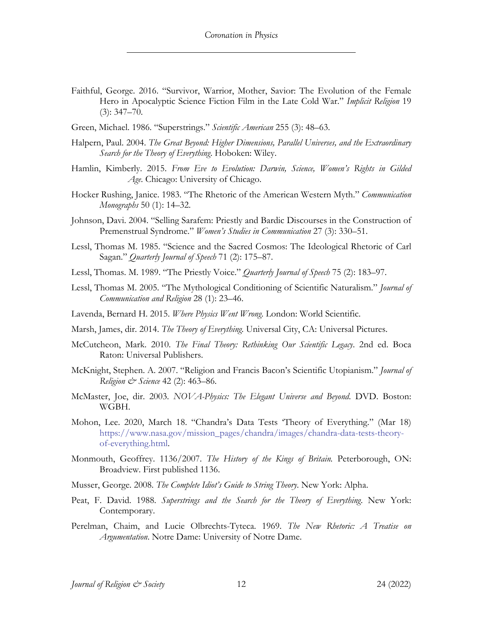- Faithful, George. 2016. "Survivor, Warrior, Mother, Savior: The Evolution of the Female Hero in Apocalyptic Science Fiction Film in the Late Cold War." *Implicit Religion* 19 (3): 347–70.
- Green, Michael. 1986. "Superstrings." *Scientific American* 255 (3): 48–63.
- Halpern, Paul. 2004. *The Great Beyond: Higher Dimensions, Parallel Universes, and the Extraordinary Search for the Theory of Everything*. Hoboken: Wiley.
- Hamlin, Kimberly. 2015. *From Eve to Evolution: Darwin, Science, Women's Rights in Gilded Age*. Chicago: University of Chicago.
- Hocker Rushing, Janice. 1983. "The Rhetoric of the American Western Myth." *Communication Monographs* 50 (1): 14–32.
- Johnson, Davi. 2004. "Selling Sarafem: Priestly and Bardic Discourses in the Construction of Premenstrual Syndrome." *Women's Studies in Communication* 27 (3): 330–51.
- Lessl, Thomas M. 1985. "Science and the Sacred Cosmos: The Ideological Rhetoric of Carl Sagan." *Quarterly Journal of Speech* 71 (2): 175–87.
- Lessl, Thomas. M. 1989. "The Priestly Voice." *Quarterly Journal of Speech* 75 (2): 183–97.
- Lessl, Thomas M. 2005. "The Mythological Conditioning of Scientific Naturalism." *Journal of Communication and Religion* 28 (1): 23–46.
- Lavenda, Bernard H. 2015. *Where Physics Went Wrong*. London: World Scientific.
- Marsh, James, dir. 2014. *The Theory of Everything.* Universal City, CA: Universal Pictures.
- McCutcheon, Mark. 2010. *The Final Theory: Rethinking Our Scientific Legacy*. 2nd ed. Boca Raton: Universal Publishers.
- McKnight, Stephen. A. 2007. "Religion and Francis Bacon's Scientific Utopianism." *Journal of Religion & Science* 42 (2): 463–86.
- McMaster, Joe, dir. 2003. *NOVA-Physics: The Elegant Universe and Beyond*. DVD. Boston: WGBH.
- Mohon, Lee. 2020, March 18. "Chandra's Data Tests 'Theory of Everything." (Mar 18) https://www.nasa.gov/mission\_pages/chandra/images/chandra-data-tests-theoryof-everything.html.
- Monmouth, Geoffrey. 1136/2007. *The History of the Kings of Britain.* Peterborough, ON: Broadview. First published 1136.
- Musser, George. 2008. *The Complete Idiot's Guide to String Theory*. New York: Alpha.
- Peat, F. David. 1988. *Superstrings and the Search for the Theory of Everything*. New York: Contemporary.
- Perelman, Chaim, and Lucie Olbrechts-Tyteca. 1969. *The New Rhetoric: A Treatise on Argumentation*. Notre Dame: University of Notre Dame.